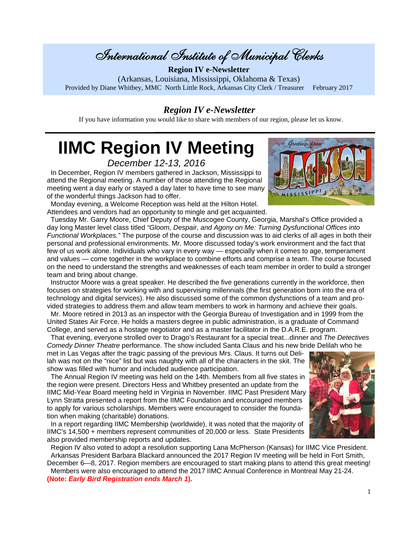# International Institute of Municipal Clerks

**Region IV e-Newsletter**  (Arkansas, Louisiana, Mississippi, Oklahoma & Texas) Provided by Diane Whitbey, MMC North Little Rock, Arkansas City Clerk / Treasurer February 2017

### *Region IV e-Newsletter*

If you have information you would like to share with members of our region, please let us know.

# **IIMC Region IV Meeting**

*December 12-13, 2016* 

In December, Region IV members gathered in Jackson, Mississippi to attend the Regional meeting. A number of those attending the Regional meeting went a day early or stayed a day later to have time to see many of the wonderful things Jackson had to offer.

 Monday evening, a Welcome Reception was held at the Hilton Hotel. Attendees and vendors had an opportunity to mingle and get acquainted.

 Tuesday Mr. Garry Moore, Chief Deputy of the Muscogee County, Georgia, Marshal's Office provided a day long Master level class titled *"Gloom, Despair, and Agony on Me: Turning Dysfunctional Offices into Functional Workplaces."* The purpose of the course and discussion was to aid clerks of all ages in both their personal and professional environments. Mr. Moore discussed today's work environment and the fact that few of us work alone. Individuals who vary in every way — especially when it comes to age, temperament and values — come together in the workplace to combine efforts and comprise a team. The course focused on the need to understand the strengths and weaknesses of each team member in order to build a stronger team and bring about change.

 Instructor Moore was a great speaker. He described the five generations currently in the workforce, then focuses on strategies for working with and supervising millennials (the first generation born into the era of technology and digital services). He also discussed some of the common dysfunctions of a team and provided strategies to address them and allow team members to work in harmony and achieve their goals.

 Mr. Moore retired in 2013 as an inspector with the Georgia Bureau of Investigation and in 1999 from the United States Air Force. He holds a masters degree in public administration, is a graduate of Command College, and served as a hostage negotiator and as a master facilitator in the D.A.R.E. program.

 That evening, everyone strolled over to Drago's Restaurant for a special treat...dinner and *The Detectives Comedy Dinner Theatre* performance. The show included Santa Claus and his new bride Delilah who he

met in Las Vegas after the tragic passing of the previous Mrs. Claus. It turns out Delilah was not on the "nice" list but was naughty with all of the characters in the skit. The show was filled with humor and included audience participation.

 The Annual Region IV meeting was held on the 14th. Members from all five states in the region were present. Directors Hess and Whitbey presented an update from the IIMC Mid-Year Board meeting held in Virginia in November. IIMC Past President Mary Lynn Stratta presented a report from the IIMC Foundation and encouraged members to apply for various scholarships. Members were encouraged to consider the foundation when making (charitable) donations.

 In a report regarding IIMC Membership (worldwide), it was noted that the majority of IIMC's 14,500 + members represent communities of 20,000 or less. State Presidents also provided membership reports and updates.

 Region IV also voted to adopt a resolution supporting Lana McPherson (Kansas) for IIMC Vice President. Arkansas President Barbara Blackard announced the 2017 Region IV meeting will be held in Fort Smith,

December 6—8, 2017. Region members are encouraged to start making plans to attend this great meeting! Members were also encouraged to attend the 2017 IIMC Annual Conference in Montreal May 21-24. **(Note:** *Early Bird Registration ends March 1***).** 



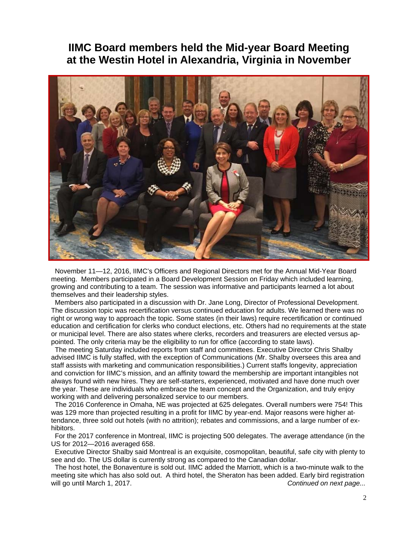## **IIMC Board members held the Mid-year Board Meeting at the Westin Hotel in Alexandria, Virginia in November**



 November 11—12, 2016, IIMC's Officers and Regional Directors met for the Annual Mid-Year Board meeting. Members participated in a Board Development Session on Friday which included learning, growing and contributing to a team. The session was informative and participants learned a lot about themselves and their leadership styles.

 Members also participated in a discussion with Dr. Jane Long, Director of Professional Development. The discussion topic was recertification versus continued education for adults. We learned there was no right or wrong way to approach the topic. Some states (in their laws) require recertification or continued education and certification for clerks who conduct elections, etc. Others had no requirements at the state or municipal level. There are also states where clerks, recorders and treasurers are elected versus appointed. The only criteria may be the eligibility to run for office (according to state laws).

 The meeting Saturday included reports from staff and committees. Executive Director Chris Shalby advised IIMC is fully staffed, with the exception of Communications (Mr. Shalby oversees this area and staff assists with marketing and communication responsibilities.) Current staffs longevity, appreciation and conviction for IIMC's mission, and an affinity toward the membership are important intangibles not always found with new hires. They are self-starters, experienced, motivated and have done much over the year. These are individuals who embrace the team concept and the Organization, and truly enjoy working with and delivering personalized service to our members.

 The 2016 Conference in Omaha, NE was projected at 625 delegates. Overall numbers were 754! This was 129 more than projected resulting in a profit for IIMC by year-end. Major reasons were higher attendance, three sold out hotels (with no attrition); rebates and commissions, and a large number of exhibitors.

 For the 2017 conference in Montreal, IIMC is projecting 500 delegates. The average attendance (in the US for 2012—2016 averaged 658.

 Executive Director Shalby said Montreal is an exquisite, cosmopolitan, beautiful, safe city with plenty to see and do. The US dollar is currently strong as compared to the Canadian dollar.

 The host hotel, the Bonaventure is sold out. IIMC added the Marriott, which is a two-minute walk to the meeting site which has also sold out. A third hotel, the Sheraton has been added. Early bird registration will go until March 1, 2017.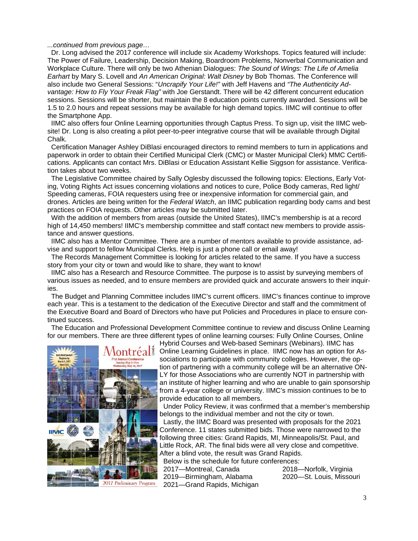*...continued from previous page…*

 Dr. Long advised the 2017 conference will include six Academy Workshops. Topics featured will include: The Power of Failure, Leadership, Decision Making, Boardroom Problems, Nonverbal Communication and Workplace Culture. There will only be two Athenian Dialogues: *The Sound of Wings: The Life of Amelia Earhart* by Mary S. Lovell and *An American Original: Walt Disney* by Bob Thomas. The Conference will also include two General Sessions: "*Uncrapify Your Life!"* with Jeff Havens and *"The Authenticity Advantage: How to Fly Your Freak Flag"* with Joe Gerstandt. There will be 42 different concurrent education sessions. Sessions will be shorter, but maintain the 8 education points currently awarded. Sessions will be 1.5 to 2.0 hours and repeat sessions may be available for high demand topics. IIMC will continue to offer the Smartphone App.

 IIMC also offers four Online Learning opportunities through Captus Press. To sign up, visit the IIMC website! Dr. Long is also creating a pilot peer-to-peer integrative course that will be available through Digital Chalk.

 Certification Manager Ashley DiBlasi encouraged directors to remind members to turn in applications and paperwork in order to obtain their Certified Municipal Clerk (CMC) or Master Municipal Clerk) MMC Certifications. Applicants can contact Mrs. DiBlasi or Education Assistant Kellie Siggson for assistance. Verification takes about two weeks.

 The Legislative Committee chaired by Sally Oglesby discussed the following topics: Elections, Early Voting, Voting Rights Act issues concerning violations and notices to cure, Police Body cameras, Red light/ Speeding cameras, FOIA requesters using free or inexpensive information for commercial gain, and drones. Articles are being written for the *Federal Watch*, an IIMC publication regarding body cams and best practices on FOIA requests. Other articles may be submitted later.

 With the addition of members from areas (outside the United States), IIMC's membership is at a record high of 14,450 members! IIMC's membership committee and staff contact new members to provide assistance and answer questions.

 IIMC also has a Mentor Committee. There are a number of mentors available to provide assistance, advise and support to fellow Municipal Clerks. Help is just a phone call or email away!

 The Records Management Committee is looking for articles related to the same. If you have a success story from your city or town and would like to share, they want to know!

 IIMC also has a Research and Resource Committee. The purpose is to assist by surveying members of various issues as needed, and to ensure members are provided quick and accurate answers to their inquiries.

 The Budget and Planning Committee includes IIMC's current officers. IIMC's finances continue to improve each year. This is a testament to the dedication of the Executive Director and staff and the commitment of the Executive Board and Board of Directors who have put Policies and Procedures in place to ensure continued success.

 The Education and Professional Development Committee continue to review and discuss Online Learning for our members. There are three different types of online learning courses: Fully Online Courses, Online



Hybrid Courses and Web-based Seminars (Webinars). IIMC has Online Learning Guidelines in place. IIMC now has an option for Associations to participate with community colleges. However, the option of partnering with a community college will be an alternative ON-LY for those Associations who are currently NOT in partnership with an institute of higher learning and who are unable to gain sponsorship from a 4-year college or university. IIMC's mission continues to be to provide education to all members.

 Under Policy Review, it was confirmed that a member's membership belongs to the individual member and not the city or town.

 Lastly, the IIMC Board was presented with proposals for the 2021 Conference. 11 states submitted bids. Those were narrowed to the following three cities: Grand Rapids, MI, Minneapolis/St. Paul, and Little Rock, AR. The final bids were all very close and competitive. After a blind vote, the result was Grand Rapids.

Below is the schedule for future conferences:

 2017—Montreal, Canada 2018—Norfolk, Virginia 2019—Birmingham, Alabama 2020—St. Louis, Missouri 2021—Grand Rapids, Michigan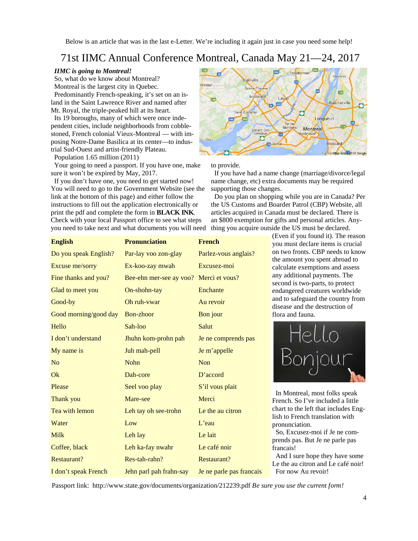Below is an article that was in the last e-Letter. We're including it again just in case you need some help!

## 71st IIMC Annual Conference Montreal, Canada May 21—24, 2017

#### *IIMC is going to Montreal!*

 So, what do we know about Montreal? Montreal is the largest city in Quebec.

 Predominantly French-speaking, it's set on an island in the Saint Lawrence River and named after Mt. Royal, the triple-peaked hill at its heart.

 Its 19 boroughs, many of which were once independent cities, include neighborhoods from cobblestoned, French colonial Vieux-Montreal — with imposing Notre-Dame Basilica at its center—to industrial Sud-Ouest and artist-friendly Plateau.

Population 1.65 million (2011)

 Your going to need a passport. If you have one, make sure it won't be expired by May, 2017.

 If you don't have one, you need to get started now! You will need to go to the Government Website (see the link at the bottom of this page) and either follow the instructions to fill out the application electronically or print the pdf and complete the form in **BLACK INK**. Check with your local Passport office to see what steps you need to take next and what documents you will need



to provide.

 If you have had a name change (marriage/divorce/legal name change, etc) extra documents may be required supporting those changes.

 Do you plan on shopping while you are in Canada? Per the US Customs and Boarder Patrol (CBP) Website, all articles acquired in Canada must be declared. There is an \$800 exemption for gifts and personal articles. Anything you acquire outside the US must be declared.

| <b>English</b>        | <b>Pronunciation</b>                   | <b>French</b>            |
|-----------------------|----------------------------------------|--------------------------|
| Do you speak English? | Par-lay voo zon-glay                   | Parlez-vous anglais?     |
| Excuse me/sorry       | Ex-koo-zay mwah                        | Excusez-moi              |
| Fine thanks and you?  | Bee-ehn mer-see ay voo? Merci et vous? |                          |
| Glad to meet you      | On-shohn-tay                           | Enchante                 |
| Good-by               | Oh ruh-vwar                            | Au revoir                |
| Good morning/good day | Bon-zhoor                              | Bon jour                 |
| Hello                 | Sah-loo                                | Salut                    |
| I don't understand    | Jhuhn kom-prohn pah                    | Je ne comprends pas      |
| My name is            | Juh mah-pell                           | Je m'appelle             |
| N <sub>o</sub>        | <b>Nohn</b>                            | <b>Non</b>               |
| Ok                    | Dah-core                               | $D'$ accord              |
| Please                | Seel voo play                          | S'il vous plait          |
| Thank you             | Mare-see                               | Merci                    |
| Tea with lemon        | Leh tay oh see-trohn                   | Le the au citron         |
| Water                 | Low                                    | $L$ 'eau                 |
| <b>Milk</b>           | Leh lay                                | Le lait                  |
| Coffee, black         | Leh ka-fay nwahr                       | Le café noir             |
| Restaurant?           | Res-tah-rahn?                          | <b>Restaurant?</b>       |
| I don't speak French  | Jehn parl pah frahn-say                | Je ne parle pas francais |

(Even if you found it). The reason you must declare items is crucial on two fronts. CBP needs to know the amount you spent abroad to calculate exemptions and assess any additional payments. The second is two-parts, to protect endangered creatures worldwide and to safeguard the country from disease and the destruction of flora and fauna.



 In Montreal, most folks speak French. So I've included a little chart to the left that includes English to French translation with pronunciation.

 So, Excusez-moi if Je ne comprends pas. But Je ne parle pas francais!

 And I sure hope they have some Le the au citron and Le café noir! For now Au revoir!

Passport link: http://www.state.gov/documents/organization/212239.pdf *Be sure you use the current form!*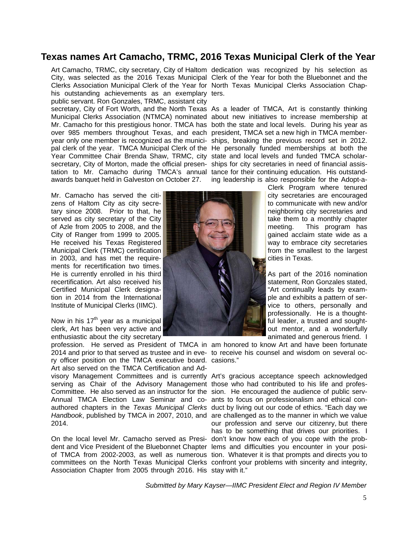### **Texas names Art Camacho, TRMC, 2016 Texas Municipal Clerk of the Year**

Art Camacho, TRMC, city secretary, City of Haltom dedication was recognized by his selection as City, was selected as the 2016 Texas Municipal Clerk of the Year for both the Bluebonnet and the Clerks Association Municipal Clerk of the Year for North Texas Municipal Clerks Association Chaphis outstanding achievements as an exemplary ters. public servant. Ron Gonzales, TRMC, assistant city secretary, City of Fort Worth, and the North Texas As a leader of TMCA, Art is constantly thinking over 985 members throughout Texas, and each president, TMCA set a new high in TMCA member-Year Committee Chair Brenda Shaw, TRMC, city state and local levels and funded TMCA scholarsecretary, City of Morton, made the official presen- ships for city secretaries in need of financial assistation to Mr. Camacho during TMCA's annual tance for their continuing education. His outstandawards banquet held in Galveston on October 27.

Mr. Camacho has served the citizens of Haltom City as city secretary since 2008. Prior to that, he served as city secretary of the City of Azle from 2005 to 2008, and the City of Ranger from 1999 to 2005. He received his Texas Registered Municipal Clerk (TRMC) certification in 2003, and has met the requirements for recertification two times. He is currently enrolled in his third recertification. Art also received his Certified Municipal Clerk designation in 2014 from the International Institute of Municipal Clerks (IIMC).

Now in his  $17<sup>th</sup>$  year as a municipal clerk, Art has been very active and enthusiastic about the city secretary

ry officer position on the TMCA executive board. casions." Art also served on the TMCA Certification and Ad-

visory Management Committees and is currently Art's gracious acceptance speech acknowledged serving as Chair of the Advisory Management those who had contributed to his life and profes-Committee. He also served as an instructor for the sion. He encouraged the audience of public serv-Annual TMCA Election Law Seminar and co-ants to focus on professionalism and ethical conauthored chapters in the *Texas Municipal Clerks*  duct by living out our code of ethics. "Each day we *Handbook*, published by TMCA in 2007, 2010, and are challenged as to the manner in which we value 2014.

On the local level Mr. Camacho served as Presi-don't know how each of you cope with the probdent and Vice President of the Bluebonnet Chapter lems and difficulties you encounter in your posiof TMCA from 2002-2003, as well as numerous tion. Whatever it is that prompts and directs you to committees on the North Texas Municipal Clerks confront your problems with sincerity and integrity, Association Chapter from 2005 through 2016. His stay with it."

Municipal Clerks Association (NTMCA) nominated about new initiatives to increase membership at Mr. Camacho for this prestigious honor. TMCA has both the state and local levels. During his year as year only one member is recognized as the munici-ships, breaking the previous record set in 2012. pal clerk of the year. TMCA Municipal Clerk of the He personally funded memberships at both the ing leadership is also responsible for the Adopt-a-

> Clerk Program where tenured city secretaries are encouraged to communicate with new and/or neighboring city secretaries and take them to a monthly chapter meeting. This program has gained acclaim state wide as a way to embrace city secretaries from the smallest to the largest cities in Texas.

> As part of the 2016 nomination statement, Ron Gonzales stated, "Art continually leads by example and exhibits a pattern of service to others, personally and professionally. He is a thoughtful leader, a trusted and soughtout mentor, and a wonderfully animated and generous friend. I

profession. He served as President of TMCA in am honored to know Art and have been fortunate 2014 and prior to that served as trustee and in eve-to receive his counsel and wisdom on several oc-

> our profession and serve our citizenry, but there has to be something that drives our priorities. I

*Submitted by Mary Kayser—IIMC President Elect and Region IV Member* 

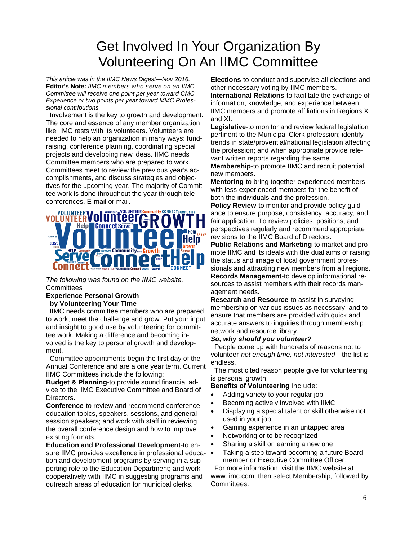# Get Involved In Your Organization By Volunteering On An IIMC Committee

*This article was in the IIMC News Digest—Nov 2016.*  **Editor's Note:** *IIMC members who serve on an IIMC Committee will receive one point per year toward CMC Experience or two points per year toward MMC Professional contributions.* 

 Involvement is the key to growth and development. The core and essence of any member organization like IIMC rests with its volunteers. Volunteers are needed to help an organization in many ways: fundraising, conference planning, coordinating special projects and developing new ideas. IIMC needs Committee members who are prepared to work. Committees meet to review the previous year's accomplishments, and discuss strategies and objectives for the upcoming year. The majority of Committee work is done throughout the year through teleconferences, E-mail or mail.

# VOLUNTEER**Volunteer VOLUNT Help Connect Serve**

*The following was found on the IIMC website.*  **Committees** 

#### **Experience Personal Growth by Volunteering Your Time**

 IIMC needs committee members who are prepared to work, meet the challenge and grow. Put your input and insight to good use by volunteering for committee work. Making a difference and becoming involved is the key to personal growth and development.

 Committee appointments begin the first day of the Annual Conference and are a one year term. Current IIMC Committees include the following:

**Budget & Planning**-to provide sound financial advice to the IIMC Executive Committee and Board of Directors.

**Conference**-to review and recommend conference education topics, speakers, sessions, and general session speakers; and work with staff in reviewing the overall conference design and how to improve existing formats.

**Education and Professional Development**-to ensure IIMC provides excellence in professional education and development programs by serving in a supporting role to the Education Department; and work cooperatively with IIMC in suggesting programs and outreach areas of education for municipal clerks.

**Elections**-to conduct and supervise all elections and other necessary voting by IIMC members. **International Relations**-to facilitate the exchange of

information, knowledge, and experience between IIMC members and promote affiliations in Regions X and XI.

**Legislative**-to monitor and review federal legislation pertinent to the Municipal Clerk profession; identify trends in state/provential/national legislation affecting the profession; and when appropriate provide relevant written reports regarding the same.

**Membership**-to promote IIMC and recruit potential new members.

**Mentoring**-to bring together experienced members with less-experienced members for the benefit of both the individuals and the profession.

**Policy Review**-to monitor and provide policy guidance to ensure purpose, consistency, accuracy, and fair application. To review policies, positions, and perspectives regularly and recommend appropriate revisions to the IIMC Board of Directors.

**Public Relations and Marketing**-to market and promote IIMC and its ideals with the dual aims of raising the status and image of local government professionals and attracting new members from all regions.

**Records Management**-to develop informational resources to assist members with their records management needs.

**Research and Resource**-to assist in surveying membership on various issues as necessary; and to ensure that members are provided with quick and accurate answers to inquiries through membership network and resource library.

### *So, why should you volunteer?*

 People come up with hundreds of reasons not to volunteer-*not enough time, not interested*—the list is endless.

 The most cited reason people give for volunteering is personal growth.

#### **Benefits of Volunteering** include:

- Adding variety to your regular job
- Becoming actively involved with IIMC
- Displaying a special talent or skill otherwise not used in your job
- Gaining experience in an untapped area
- Networking or to be recognized
- Sharing a skill or learning a new one
- Taking a step toward becoming a future Board member or Executive Committee Officer.

 For more information, visit the IIMC website at www.iimc.com, then select Membership, followed by Committees.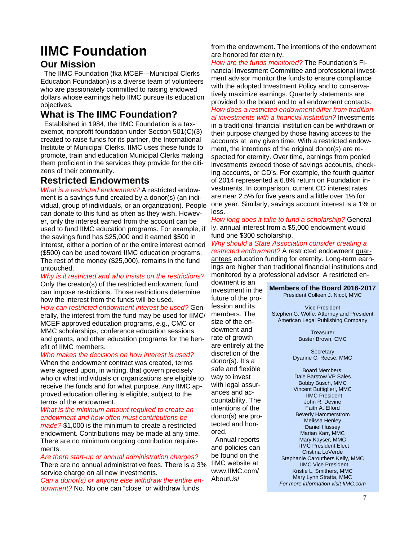# **IIMC Foundation**

### **Our Mission**

 The IIMC Foundation (fka MCEF—Municipal Clerks Education Foundation) is a diverse team of volunteers who are passionately committed to raising endowed dollars whose earnings help IIMC pursue its education objectives.

### **What is The IIMC Foundation?**

 Established in 1984, the IIMC Foundation is a taxexempt, nonprofit foundation under Section 501(C)(3) created to raise funds for its partner, the International Institute of Municipal Clerks. IIMC uses these funds to promote, train and education Municipal Clerks making them proficient in the services they provide for the citizens of their community.

### **Restricted Endowments**

*What is a restricted endowment?* A restricted endowment is a savings fund created by a donor(s) (an individual, group of individuals, or an organization). People can donate to this fund as often as they wish. However, only the interest earned from the account can be used to fund IIMC education programs. For example, if the savings fund has \$25,000 and it earned \$500 in interest, either a portion of or the entire interest earned (\$500) can be used toward IIMC education programs. The rest of the money (\$25,000), remains in the fund untouched.

*Why is it restricted and who insists on the restrictions?* Only the creator(s) of the restricted endowment fund can impose restrictions. Those restrictions determine how the interest from the funds will be used.

*How can restricted endowment interest be used?* Generally, the interest from the fund may be used for IIMC/ MCEF approved education programs, e.g., CMC or MMC scholarships, conference education sessions and grants, and other education programs for the benefit of IIMC members.

#### *Who makes the decisions on how interest is used?*

When the endowment contract was created, terms were agreed upon, in writing, that govern precisely who or what individuals or organizations are eligible to receive the funds and for what purpose. Any IIMC approved education offering is eligible, subject to the terms of the endowment.

### *What is the minimum amount required to create an endowment and how often must contributions be*

*made?* \$1,000 is the minimum to create a restricted endowment. Contributions may be made at any time. There are no minimum ongoing contribution requirements.

*Are there start-up or annual administration charges?* There are no annual administrative fees. There is a 3% service charge on all new investments.

*Can a donor(s) or anyone else withdraw the entire endowment?* No. No one can "close" or withdraw funds

from the endowment. The intentions of the endowment are honored for eternity.

*How are the funds monitored?* The Foundation's Financial Investment Committee and professional investment advisor monitor the funds to ensure compliance with the adopted Investment Policy and to conservatively maximize earnings. Quarterly statements are provided to the board and to all endowment contacts. *How does a restricted endowment differ from traditional investments with a financial institution?* Investments in a traditional financial institution can be withdrawn or their purpose changed by those having access to the accounts at any given time. With a restricted endowment, the intentions of the original donor(s) are respected for eternity. Over time, earnings from pooled investments exceed those of savings accounts, checking accounts, or CD's. For example, the fourth quarter of 2014 represented a 6.8% return on Foundation investments. In comparison, current CD interest rates are near 2.5% for five years and a little over 1% for one year. Similarly, savings account interest is a 1% or less.

*How long does it take to fund a scholarship?* Generally, annual interest from a \$5,000 endowment would fund one \$300 scholarship.

*Why should a State Association consider creating a restricted endowment?* A restricted endowment guarantees education funding for eternity. Long-term earnings are higher than traditional financial institutions and monitored by a professional advisor. A restricted en-

dowment is an investment in the future of the profession and its members. The size of the endowment and rate of growth are entirely at the discretion of the donor(s). It's a safe and flexible way to invest with legal assurances and accountability. The intentions of the donor(s) are protected and honored.

 Annual reports and policies can be found on the IIMC website at www.IIMC.com/ AboutLls/

#### **Members of the Board 2016-2017**

President Colleen J. Nicol, MMC

Vice President Stephen G. Wolfe, Attorney and President American Legal Publishing Company

> Treasurer Buster Brown, CMC

**Secretary** Dyanne C. Reese, MMC

Board Members: Dale Barstow VP Sales Bobby Busch, MMC Vincent Buttiglieri, MMC IIMC President John R. Devine Faith A. Elford Beverly Hammerstrom Melissa Henley Daniel Hussey Marian Karr, MMC Mary Kayser, MMC IIMC President Elect Cristina LoVerde Stephanie Carouthers Kelly, MMC IIMC Vice President Kristie L. Smithers, MMC Mary Lynn Stratta, MMC *For more information visit IIMC.com*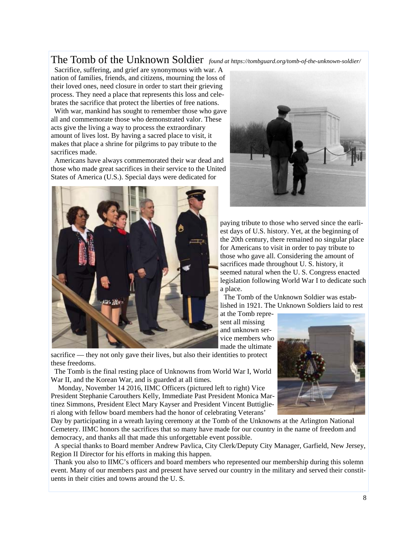## The Tomb of the Unknown Soldier *found at https://tombguard.org/tomb-of-the-unknown-soldier/*

 Sacrifice, suffering, and grief are synonymous with war. A nation of families, friends, and citizens, mourning the loss of their loved ones, need closure in order to start their grieving process. They need a place that represents this loss and celebrates the sacrifice that protect the liberties of free nations.

 With war, mankind has sought to remember those who gave all and commemorate those who demonstrated valor. These acts give the living a way to process the extraordinary amount of lives lost. By having a sacred place to visit, it makes that place a shrine for pilgrims to pay tribute to the sacrifices made.

 Americans have always commemorated their war dead and those who made great sacrifices in their service to the United States of America (U.S.). Special days were dedicated for





paying tribute to those who served since the earliest days of U.S. history. Yet, at the beginning of the 20th century, there remained no singular place for Americans to visit in order to pay tribute to those who gave all. Considering the amount of sacrifices made throughout U. S. history, it seemed natural when the U. S. Congress enacted legislation following World War I to dedicate such a place.

 The Tomb of the Unknown Soldier was established in 1921. The Unknown Soldiers laid to rest

at the Tomb represent all missing and unknown service members who made the ultimate

sacrifice — they not only gave their lives, but also their identities to protect these freedoms.

 The Tomb is the final resting place of Unknowns from World War I, World War II, and the Korean War, and is guarded at all times.

 Monday, November 14 2016, IIMC Officers (pictured left to right) Vice President Stephanie Carouthers Kelly, Immediate Past President Monica Martinez Simmons, President Elect Mary Kayser and President Vincent Buttiglieri along with fellow board members had the honor of celebrating Veterans'

Day by participating in a wreath laying ceremony at the Tomb of the Unknowns at the Arlington National Cemetery. IIMC honors the sacrifices that so many have made for our country in the name of freedom and democracy, and thanks all that made this unforgettable event possible.

 A special thanks to Board member Andrew Pavlica, City Clerk/Deputy City Manager, Garfield, New Jersey, Region II Director for his efforts in making this happen.

 Thank you also to IIMC's officers and board members who represented our membership during this solemn event. Many of our members past and present have served our country in the military and served their constituents in their cities and towns around the U. S.

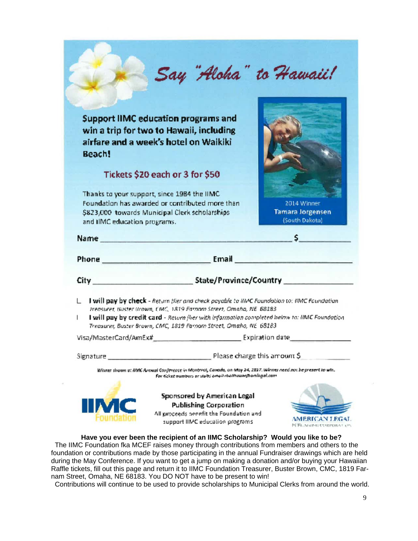|                                              | Say "Aloha" to Hawaii!                                                                                                                                                                                                                                                                                                                 |                                                          |
|----------------------------------------------|----------------------------------------------------------------------------------------------------------------------------------------------------------------------------------------------------------------------------------------------------------------------------------------------------------------------------------------|----------------------------------------------------------|
| Beach!                                       | <b>Support IIMC education programs and</b><br>win a trip for two to Hawaii, including<br>airfare and a week's hotel on Waikiki                                                                                                                                                                                                         |                                                          |
|                                              | Tickets \$20 each or 3 for \$50                                                                                                                                                                                                                                                                                                        |                                                          |
| and IIMC education programs.                 | Thanks to your support, since 1984 the IIMC<br>Foundation has awarded or contributed more than<br>\$823,000 towards Municipal Clerk scholarships                                                                                                                                                                                       | 2014 Winner<br><b>Tamara Jorgensen</b><br>(South Dakota) |
| Name                                         | standard and the state of the company of the state of the state of the state of the state of the state of the                                                                                                                                                                                                                          | s.                                                       |
|                                              | Phone <b>Example 2018 Email Email Email Email Email Email Email Email Email Email Email Email Email Email Email Email Email Email Email Email Email Email Email Email Email </b>                                                                                                                                                       |                                                          |
|                                              |                                                                                                                                                                                                                                                                                                                                        |                                                          |
|                                              |                                                                                                                                                                                                                                                                                                                                        |                                                          |
|                                              | I will pay by check - Return flier and check payable to HMC Foundation to: IIMC Foundation<br>Ireasurer, Buster (Irown, CMC, 1819 Farnom Street, Omaha, NE 68183<br>I will pay by credit card - Return flier with information completed below to: IIMC Foundation<br>Treasurer, Buster Brown, CMC, 1819 Farnom Street, Omaha, NE 68183 |                                                          |
|                                              | <b>Expiration date</b>                                                                                                                                                                                                                                                                                                                 |                                                          |
| L<br>L<br>Visa/MasterCard/AmEx#<br>Signature | Winner drawn at BMC Annual Conference in Montreal, Canada, on May 24, 2017. Winner need not be present to win.<br>For ticket numbers or stubs email rhallhouse@arningal.cam                                                                                                                                                            | Please charge this amount \$                             |

**Have you ever been the recipient of an IIMC Scholarship? Would you like to be?** 

 The IIMC Foundation fka MCEF raises money through contributions from members and others to the foundation or contributions made by those participating in the annual Fundraiser drawings which are held during the May Conference. If you want to get a jump on making a donation and/or buying your Hawaiian Raffle tickets, fill out this page and return it to IIMC Foundation Treasurer, Buster Brown, CMC, 1819 Farnam Street, Omaha, NE 68183. You DO NOT have to be present to win!

Contributions will continue to be used to provide scholarships to Municipal Clerks from around the world.